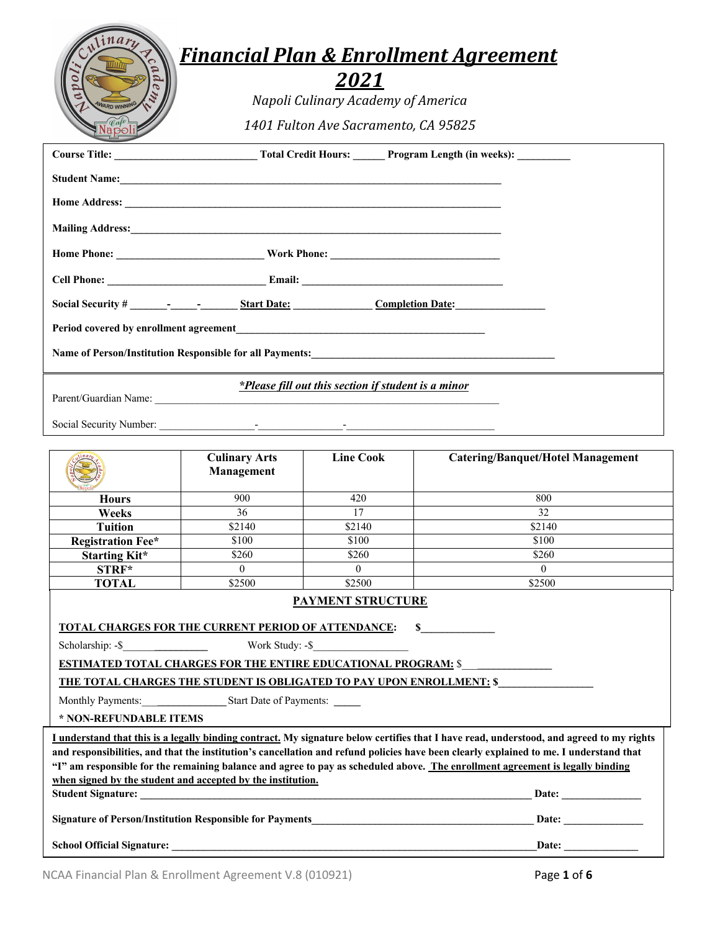# *FiFinancial Plan & Enrollment Agreement*

| N                     | Financia |
|-----------------------|----------|
|                       |          |
| AWARD<br><b>UNING</b> | N        |
|                       | 140      |

 $\binom{3}{1}$ 

*2021*

*Napoli Culinary Academy of America*

*1401 Fulton Ave Sacramento, CA 95825*

| <b>Completion Date:</b>                                                                                                                                                                                                        |                      |                  |                                                                                                                                                                                                                                                                                                                                                                                                                     |  |
|--------------------------------------------------------------------------------------------------------------------------------------------------------------------------------------------------------------------------------|----------------------|------------------|---------------------------------------------------------------------------------------------------------------------------------------------------------------------------------------------------------------------------------------------------------------------------------------------------------------------------------------------------------------------------------------------------------------------|--|
| Period covered by enrollment agreement                                                                                                                                                                                         |                      |                  |                                                                                                                                                                                                                                                                                                                                                                                                                     |  |
|                                                                                                                                                                                                                                |                      |                  |                                                                                                                                                                                                                                                                                                                                                                                                                     |  |
| *Please fill out this section if student is a minor                                                                                                                                                                            |                      |                  |                                                                                                                                                                                                                                                                                                                                                                                                                     |  |
|                                                                                                                                                                                                                                |                      |                  |                                                                                                                                                                                                                                                                                                                                                                                                                     |  |
|                                                                                                                                                                                                                                |                      |                  |                                                                                                                                                                                                                                                                                                                                                                                                                     |  |
|                                                                                                                                                                                                                                | <b>Culinary Arts</b> | <b>Line Cook</b> | <b>Catering/Banquet/Hotel Management</b>                                                                                                                                                                                                                                                                                                                                                                            |  |
|                                                                                                                                                                                                                                | Management           |                  |                                                                                                                                                                                                                                                                                                                                                                                                                     |  |
| <b>Hours</b>                                                                                                                                                                                                                   | 900                  | 420              | 800                                                                                                                                                                                                                                                                                                                                                                                                                 |  |
| Weeks                                                                                                                                                                                                                          | 36                   | 17               | $\overline{32}$                                                                                                                                                                                                                                                                                                                                                                                                     |  |
| <b>Tuition</b>                                                                                                                                                                                                                 | \$2140               | \$2140           | \$2140                                                                                                                                                                                                                                                                                                                                                                                                              |  |
| <b>Registration Fee*</b>                                                                                                                                                                                                       | \$100                | \$100            | \$100                                                                                                                                                                                                                                                                                                                                                                                                               |  |
| <b>Starting Kit*</b>                                                                                                                                                                                                           | \$260                | \$260            | \$260                                                                                                                                                                                                                                                                                                                                                                                                               |  |
| STRF*                                                                                                                                                                                                                          | $\theta$             | $\theta$         | $\theta$                                                                                                                                                                                                                                                                                                                                                                                                            |  |
| <b>TOTAL</b>                                                                                                                                                                                                                   | \$2500               | \$2500           | \$2500                                                                                                                                                                                                                                                                                                                                                                                                              |  |
| <b>PAYMENT STRUCTURE</b>                                                                                                                                                                                                       |                      |                  |                                                                                                                                                                                                                                                                                                                                                                                                                     |  |
| TOTAL CHARGES FOR THE CURRENT PERIOD OF ATTENDANCE:                                                                                                                                                                            |                      |                  | $\mathbf S$                                                                                                                                                                                                                                                                                                                                                                                                         |  |
| $Scholarship: -\$$<br>Work Study: -\$                                                                                                                                                                                          |                      |                  |                                                                                                                                                                                                                                                                                                                                                                                                                     |  |
| <b>ESTIMATED TOTAL CHARGES FOR THE ENTIRE EDUCATIONAL PROGRAM: \$</b><br>THE TOTAL CHARGES THE STUDENT IS OBLIGATED TO PAY UPON ENROLLMENT: \$                                                                                 |                      |                  |                                                                                                                                                                                                                                                                                                                                                                                                                     |  |
|                                                                                                                                                                                                                                |                      |                  |                                                                                                                                                                                                                                                                                                                                                                                                                     |  |
| Monthly Payments: Start Date of Payments:<br>* NON-REFUNDABLE ITEMS                                                                                                                                                            |                      |                  |                                                                                                                                                                                                                                                                                                                                                                                                                     |  |
| when signed by the student and accepted by the institution.                                                                                                                                                                    |                      |                  | I understand that this is a legally binding contract. My signature below certifies that I have read, understood, and agreed to my rights<br>and responsibilities, and that the institution's cancellation and refund policies have been clearly explained to me. I understand that<br>"I" am responsible for the remaining balance and agree to pay as scheduled above. The enrollment agreement is legally binding |  |
| Student Signature: New York: New York: New York: New York: New York: New York: New York: New York: New York: New York: New York: New York: New York: New York: New York: New York: New York: New York: New York: New York: New |                      |                  | Date:                                                                                                                                                                                                                                                                                                                                                                                                               |  |
| <b>Signature of Person/Institution Responsible for Payments</b>                                                                                                                                                                |                      |                  | Date:                                                                                                                                                                                                                                                                                                                                                                                                               |  |
|                                                                                                                                                                                                                                |                      |                  | Date:                                                                                                                                                                                                                                                                                                                                                                                                               |  |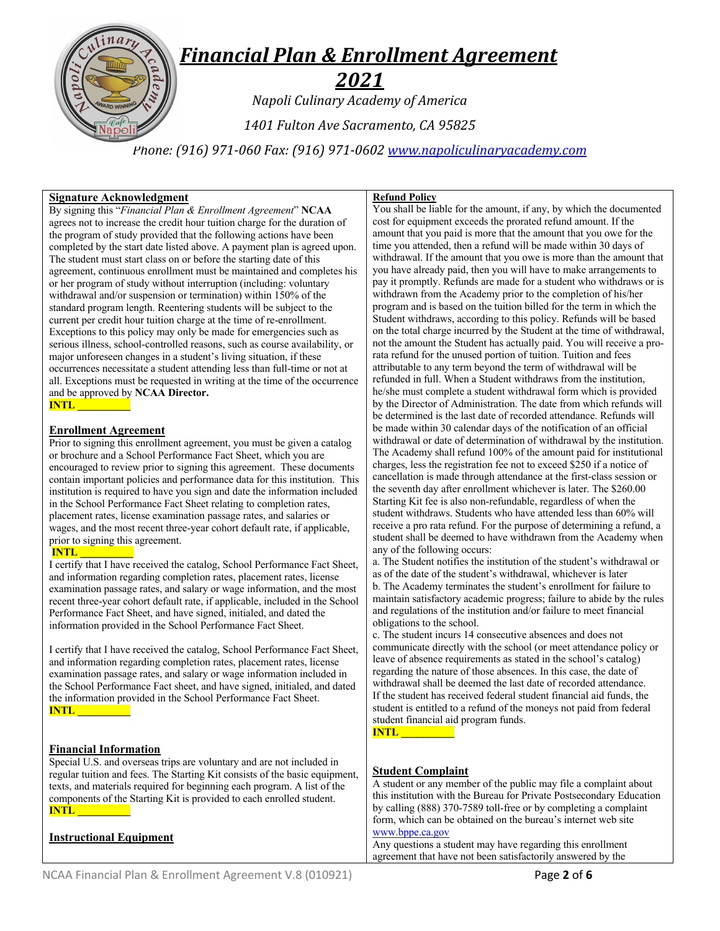*2021 Napoli Culinary Academy of America*

*1401 Fulton Ave Sacramento, CA 95825*

*Phone: (916) 971-060 Fax: (916) 971-0602 www.napoliculinaryacademy.com*

### **Signature Acknowledgment**

By signing this "*Financial Plan & Enrollment Agreement*" **NCAA** agrees not to increase the credit hour tuition charge for the duration of the program of study provided that the following actions have been completed by the start date listed above. A payment plan is agreed upon. The student must start class on or before the starting date of this agreement, continuous enrollment must be maintained and completes his or her program of study without interruption (including: voluntary withdrawal and/or suspension or termination) within 150% of the standard program length. Reentering students will be subject to the current per credit hour tuition charge at the time of re-enrollment. Exceptions to this policy may only be made for emergencies such as serious illness, school-controlled reasons, such as course availability, or major unforeseen changes in a student's living situation, if these occurrences necessitate a student attending less than full-time or not at all. Exceptions must be requested in writing at the time of the occurrence and be approved by **NCAA Director. INTL \_\_\_\_\_\_\_\_\_\_**

#### **Enrollment Agreement**

Prior to signing this enrollment agreement, you must be given a catalog or brochure and a School Performance Fact Sheet, which you are encouraged to review prior to signing this agreement. These documents contain important policies and performance data for this institution. This institution is required to have you sign and date the information included in the School Performance Fact Sheet relating to completion rates, placement rates, license examination passage rates, and salaries or wages, and the most recent three-year cohort default rate, if applicable, prior to signing this agreement.

# **INTL \_\_\_\_\_\_\_\_\_\_**

I certify that I have received the catalog, School Performance Fact Sheet, and information regarding completion rates, placement rates, license examination passage rates, and salary or wage information, and the most recent three-year cohort default rate, if applicable, included in the School Performance Fact Sheet, and have signed, initialed, and dated the information provided in the School Performance Fact Sheet.

I certify that I have received the catalog, School Performance Fact Sheet, and information regarding completion rates, placement rates, license examination passage rates, and salary or wage information included in the School Performance Fact sheet, and have signed, initialed, and dated the information provided in the School Performance Fact Sheet. **INTL \_\_\_\_\_\_\_\_\_\_**

# **Financial Information**

Special U.S. and overseas trips are voluntary and are not included in regular tuition and fees. The Starting Kit consists of the basic equipment, texts, and materials required for beginning each program. A list of the components of the Starting Kit is provided to each enrolled student. **INTL \_\_\_\_\_\_\_\_\_\_**

# **Instructional Equipment**

### **Refund Policy**

You shall be liable for the amount, if any, by which the documented cost for equipment exceeds the prorated refund amount. If the amount that you paid is more that the amount that you owe for the time you attended, then a refund will be made within 30 days of withdrawal. If the amount that you owe is more than the amount that you have already paid, then you will have to make arrangements to pay it promptly. Refunds are made for a student who withdraws or is withdrawn from the Academy prior to the completion of his/her program and is based on the tuition billed for the term in which the Student withdraws, according to this policy. Refunds will be based on the total charge incurred by the Student at the time of withdrawal, not the amount the Student has actually paid. You will receive a prorata refund for the unused portion of tuition. Tuition and fees attributable to any term beyond the term of withdrawal will be refunded in full. When a Student withdraws from the institution, he/she must complete a student withdrawal form which is provided by the Director of Administration. The date from which refunds will be determined is the last date of recorded attendance. Refunds will be made within 30 calendar days of the notification of an official withdrawal or date of determination of withdrawal by the institution. The Academy shall refund 100% of the amount paid for institutional charges, less the registration fee not to exceed \$250 if a notice of cancellation is made through attendance at the first-class session or the seventh day after enrollment whichever is later. The \$260.00 Starting Kit fee is also non-refundable, regardless of when the student withdraws. Students who have attended less than 60% will receive a pro rata refund. For the purpose of determining a refund, a student shall be deemed to have withdrawn from the Academy when any of the following occurs:

a. The Student notifies the institution of the student's withdrawal or as of the date of the student's withdrawal, whichever is later b. The Academy terminates the student's enrollment for failure to maintain satisfactory academic progress; failure to abide by the rules and regulations of the institution and/or failure to meet financial obligations to the school.

c. The student incurs 14 consecutive absences and does not communicate directly with the school (or meet attendance policy or leave of absence requirements as stated in the school's catalog) regarding the nature of those absences. In this case, the date of withdrawal shall be deemed the last date of recorded attendance. If the student has received federal student financial aid funds, the student is entitled to a refund of the moneys not paid from federal student financial aid program funds.



#### **Student Complaint**

A student or any member of the public may file a complaint about this institution with the Bureau for Private Postsecondary Education by calling (888) 370-7589 toll-free or by completing a complaint form, which can be obtained on the bureau's internet web site www.bppe.ca.gov

Any questions a student may have regarding this enrollment agreement that have not been satisfactorily answered by the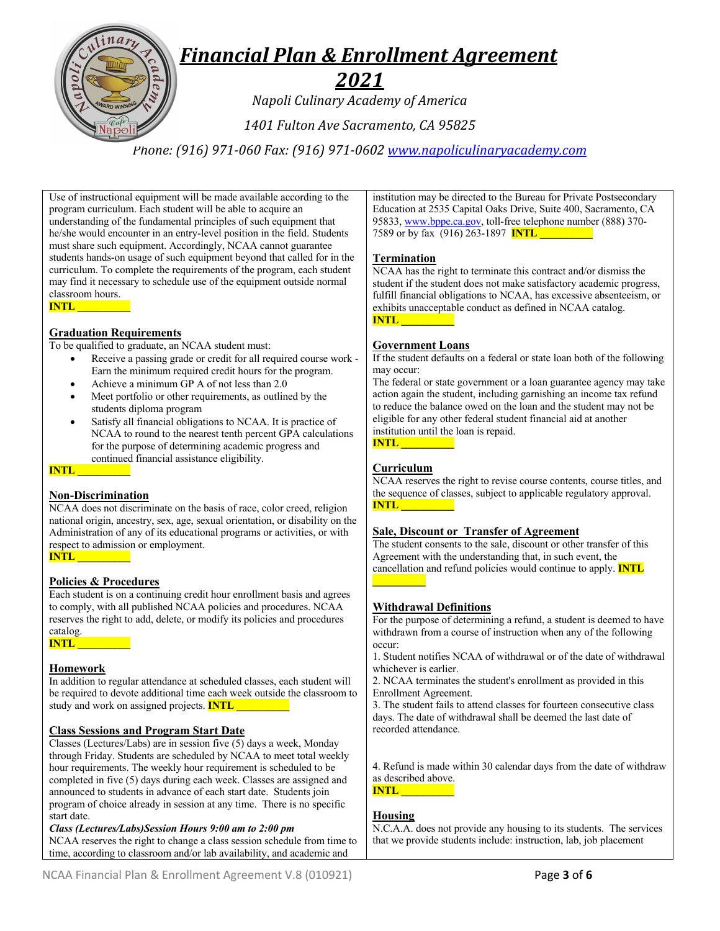

# *2021*

*Napoli Culinary Academy of America*

*1401 Fulton Ave Sacramento, CA 95825*

*Phone: (916) 971-060 Fax: (916) 971-0602 www.napoliculinaryacademy.com*

Use of instructional equipment will be made available according to the program curriculum. Each student will be able to acquire an understanding of the fundamental principles of such equipment that he/she would encounter in an entry-level position in the field. Students must share such equipment. Accordingly, NCAA cannot guarantee students hands-on usage of such equipment beyond that called for in the curriculum. To complete the requirements of the program, each student may find it necessary to schedule use of the equipment outside normal classroom hours. **INTL \_\_\_\_\_\_\_\_\_\_**

# **Graduation Requirements**

To be qualified to graduate, an NCAA student must:

- Receive a passing grade or credit for all required course work Earn the minimum required credit hours for the program.
- Achieve a minimum GP A of not less than 2.0
- Meet portfolio or other requirements, as outlined by the students diploma program
- Satisfy all financial obligations to NCAA. It is practice of NCAA to round to the nearest tenth percent GPA calculations for the purpose of determining academic progress and continued financial assistance eligibility.

**INTL \_\_\_\_\_\_\_\_\_\_**

# **Non-Discrimination**

NCAA does not discriminate on the basis of race, color creed, religion national origin, ancestry, sex, age, sexual orientation, or disability on the Administration of any of its educational programs or activities, or with respect to admission or employment.

#### **INTL \_\_\_\_\_\_\_\_\_\_**

# **Policies & Procedures**

Each student is on a continuing credit hour enrollment basis and agrees to comply, with all published NCAA policies and procedures. NCAA reserves the right to add, delete, or modify its policies and procedures catalog.

**INTL \_\_\_\_\_\_\_\_\_\_**

# **Homework**

In addition to regular attendance at scheduled classes, each student will be required to devote additional time each week outside the classroom to study and work on assigned projects. **INTL \_\_\_\_\_\_\_\_\_\_**

# **Class Sessions and Program Start Date**

Classes (Lectures/Labs) are in session five (5) days a week, Monday through Friday. Students are scheduled by NCAA to meet total weekly hour requirements. The weekly hour requirement is scheduled to be completed in five (5) days during each week. Classes are assigned and announced to students in advance of each start date. Students join program of choice already in session at any time. There is no specific start date.

#### *Class (Lectures/Labs)Session Hours 9:00 am to 2:00 pm*

NCAA reserves the right to change a class session schedule from time to time, according to classroom and/or lab availability, and academic and

institution may be directed to the Bureau for Private Postsecondary Education at 2535 Capital Oaks Drive, Suite 400, Sacramento, CA 95833, www.bppe.ca.gov, toll-free telephone number (888) 370- 7589 or by fax (916) 263-1897 **INTL** 

#### **Termination**

NCAA has the right to terminate this contract and/or dismiss the student if the student does not make satisfactory academic progress, fulfill financial obligations to NCAA, has excessive absenteeism, or exhibits unacceptable conduct as defined in NCAA catalog. **INTL \_\_\_\_\_\_\_\_\_\_**

#### **Government Loans**

If the student defaults on a federal or state loan both of the following may occur:

The federal or state government or a loan guarantee agency may take action again the student, including garnishing an income tax refund to reduce the balance owed on the loan and the student may not be eligible for any other federal student financial aid at another institution until the loan is repaid.

**INTL \_\_\_\_\_\_\_\_\_\_**

#### **Curriculum**

NCAA reserves the right to revise course contents, course titles, and the sequence of classes, subject to applicable regulatory approval. **INTL \_\_\_\_\_\_\_\_\_\_**

#### **Sale, Discount or Transfer of Agreement**

The student consents to the sale, discount or other transfer of this Agreement with the understanding that, in such event, the cancellation and refund policies would continue to apply. **INTL** 

#### **Withdrawal Definitions**

For the purpose of determining a refund, a student is deemed to have withdrawn from a course of instruction when any of the following occur:

1. Student notifies NCAA of withdrawal or of the date of withdrawal whichever is earlier.

2. NCAA terminates the student's enrollment as provided in this Enrollment Agreement.

3. The student fails to attend classes for fourteen consecutive class days. The date of withdrawal shall be deemed the last date of recorded attendance.

4. Refund is made within 30 calendar days from the date of withdraw as described above. **INTL \_\_\_\_\_\_\_\_\_\_**

#### **Housing**

N.C.A.A. does not provide any housing to its students. The services that we provide students include: instruction, lab, job placement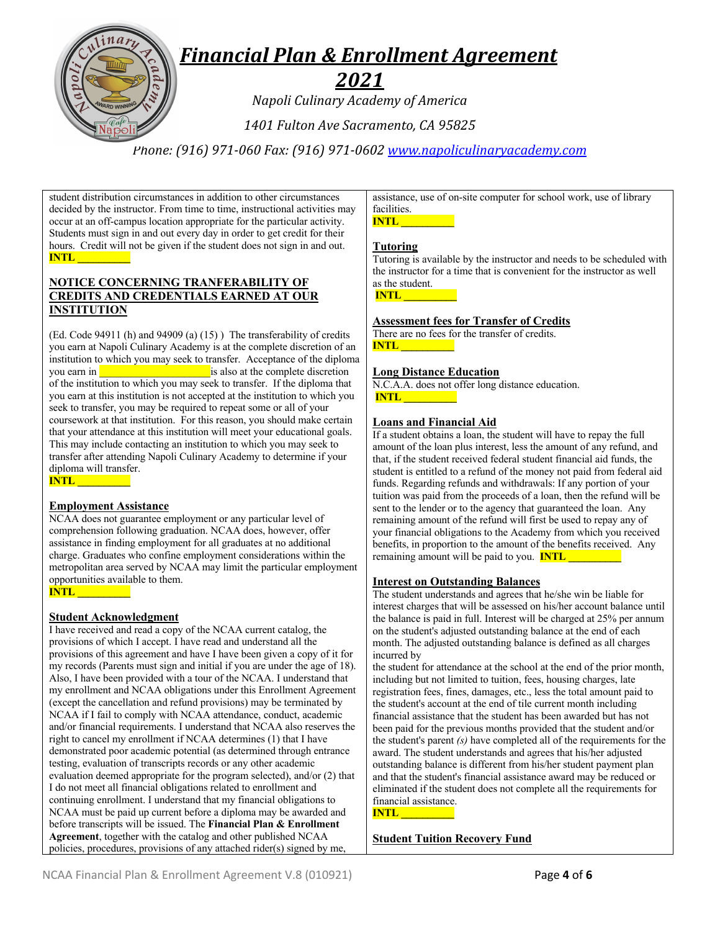

# *2021*

*Napoli Culinary Academy of America*

*1401 Fulton Ave Sacramento, CA 95825*

*Phone: (916) 971-060 Fax: (916) 971-0602 www.napoliculinaryacademy.com*

student distribution circumstances in addition to other circumstances decided by the instructor. From time to time, instructional activities may occur at an off-campus location appropriate for the particular activity. Students must sign in and out every day in order to get credit for their hours. Credit will not be given if the student does not sign in and out. **INTL \_\_\_\_\_\_\_\_\_\_**

# **NOTICE CONCERNING TRANFERABILITY OF CREDITS AND CREDENTIALS EARNED AT OUR INSTITUTION**

(Ed. Code 94911 (h) and 94909 (a) (15) ) The transferability of credits you earn at Napoli Culinary Academy is at the complete discretion of an institution to which you may seek to transfer. Acceptance of the diploma you earn in **EXECUTE:** is also at the complete discretion of the institution to which you may seek to transfer. If the diploma that you earn at this institution is not accepted at the institution to which you seek to transfer, you may be required to repeat some or all of your coursework at that institution. For this reason, you should make certain that your attendance at this institution will meet your educational goals. This may include contacting an institution to which you may seek to transfer after attending Napoli Culinary Academy to determine if your diploma will transfer. **INTL \_\_\_\_\_\_\_\_\_\_**

# **Employment Assistance**

NCAA does not guarantee employment or any particular level of comprehension following graduation. NCAA does, however, offer assistance in finding employment for all graduates at no additional charge. Graduates who confine employment considerations within the metropolitan area served by NCAA may limit the particular employment opportunities available to them. **INTL \_\_\_\_\_\_\_\_\_\_**

# **Student Acknowledgment**

I have received and read a copy of the NCAA current catalog, the provisions of which I accept. I have read and understand all the provisions of this agreement and have I have been given a copy of it for my records (Parents must sign and initial if you are under the age of 18). Also, I have been provided with a tour of the NCAA. I understand that my enrollment and NCAA obligations under this Enrollment Agreement (except the cancellation and refund provisions) may be terminated by NCAA if I fail to comply with NCAA attendance, conduct, academic and/or financial requirements. I understand that NCAA also reserves the right to cancel my enrollment if NCAA determines (1) that I have demonstrated poor academic potential (as determined through entrance testing, evaluation of transcripts records or any other academic evaluation deemed appropriate for the program selected), and/or (2) that I do not meet all financial obligations related to enrollment and continuing enrollment. I understand that my financial obligations to NCAA must be paid up current before a diploma may be awarded and before transcripts will be issued. The **Financial Plan & Enrollment Agreement**, together with the catalog and other published NCAA policies, procedures, provisions of any attached rider(s) signed by me,

assistance, use of on-site computer for school work, use of library facilities.



#### **Tutoring**

Tutoring is available by the instructor and needs to be scheduled with the instructor for a time that is convenient for the instructor as well as the student. **INTL \_\_\_\_\_\_\_\_\_\_**

# **Assessment fees for Transfer of Credits**

There are no fees for the transfer of credits. **INTL \_\_\_\_\_\_\_\_\_\_**

# **Long Distance Education**

N.C.A.A. does not offer long distance education. **INTL \_\_\_\_\_\_\_\_\_\_**

#### **Loans and Financial Aid**

If a student obtains a loan, the student will have to repay the full amount of the loan plus interest, less the amount of any refund, and that, if the student received federal student financial aid funds, the student is entitled to a refund of the money not paid from federal aid funds. Regarding refunds and withdrawals: If any portion of your tuition was paid from the proceeds of a loan, then the refund will be sent to the lender or to the agency that guaranteed the loan. Any remaining amount of the refund will first be used to repay any of your financial obligations to the Academy from which you received benefits, in proportion to the amount of the benefits received. Any remaining amount will be paid to you. **INTL** 

#### **Interest on Outstanding Balances**

The student understands and agrees that he/she win be liable for interest charges that will be assessed on his/her account balance until the balance is paid in full. Interest will be charged at 25% per annum on the student's adjusted outstanding balance at the end of each month. The adjusted outstanding balance is defined as all charges incurred by

the student for attendance at the school at the end of the prior month, including but not limited to tuition, fees, housing charges, late registration fees, fines, damages, etc., less the total amount paid to the student's account at the end of tile current month including financial assistance that the student has been awarded but has not been paid for the previous months provided that the student and/or the student's parent *(s)* have completed all of the requirements for the award. The student understands and agrees that his/her adjusted outstanding balance is different from his/her student payment plan and that the student's financial assistance award may be reduced or eliminated if the student does not complete all the requirements for financial assistance. **INTL \_\_\_\_\_\_\_\_\_\_**

# **Student Tuition Recovery Fund**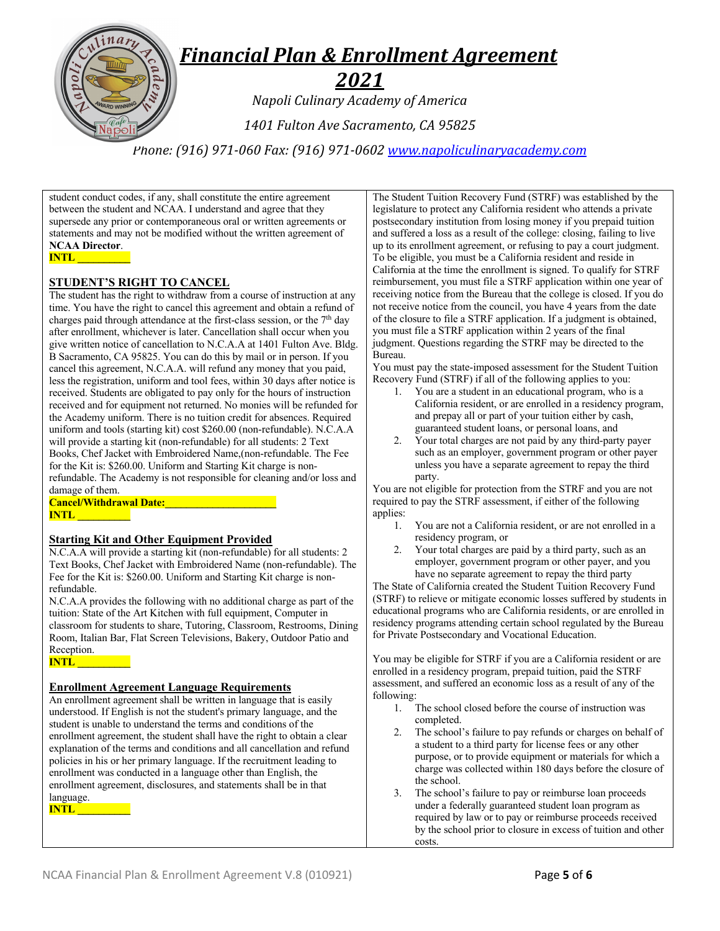

*Phone: (916) 971-060 Fax: (916) 971-0602 www.napoliculinaryacademy.com*

student conduct codes, if any, shall constitute the entire agreement between the student and NCAA. I understand and agree that they supersede any prior or contemporaneous oral or written agreements or statements and may not be modified without the written agreement of **NCAA Director**. **INTL \_\_\_\_\_\_\_\_\_\_**

#### **STUDENT'S RIGHT TO CANCEL**

The student has the right to withdraw from a course of instruction at any time. You have the right to cancel this agreement and obtain a refund of charges paid through attendance at the first-class session, or the  $7<sup>th</sup>$  day after enrollment, whichever is later. Cancellation shall occur when you give written notice of cancellation to N.C.A.A at 1401 Fulton Ave. Bldg. B Sacramento, CA 95825. You can do this by mail or in person. If you cancel this agreement, N.C.A.A. will refund any money that you paid, less the registration, uniform and tool fees, within 30 days after notice is received. Students are obligated to pay only for the hours of instruction received and for equipment not returned. No monies will be refunded for the Academy uniform. There is no tuition credit for absences. Required uniform and tools (starting kit) cost \$260.00 (non-refundable). N.C.A.A will provide a starting kit (non-refundable) for all students: 2 Text Books, Chef Jacket with Embroidered Name,(non-refundable. The Fee for the Kit is: \$260.00. Uniform and Starting Kit charge is nonrefundable. The Academy is not responsible for cleaning and/or loss and damage of them.

**Cancel/Withdrawal Date:\_\_\_\_\_\_\_\_\_\_\_\_\_\_\_\_\_\_\_\_\_ INTL \_\_\_\_\_\_** 

#### **Starting Kit and Other Equipment Provided**

N.C.A.A will provide a starting kit (non-refundable) for all students: 2 Text Books, Chef Jacket with Embroidered Name (non-refundable). The Fee for the Kit is: \$260.00. Uniform and Starting Kit charge is nonrefundable.

N.C.A.A provides the following with no additional charge as part of the tuition: State of the Art Kitchen with full equipment, Computer in classroom for students to share, Tutoring, Classroom, Restrooms, Dining Room, Italian Bar, Flat Screen Televisions, Bakery, Outdoor Patio and Reception.

**INTL \_\_\_\_\_\_\_\_\_\_**

#### **Enrollment Agreement Language Requirements**

An enrollment agreement shall be written in language that is easily understood. If English is not the student's primary language, and the student is unable to understand the terms and conditions of the enrollment agreement, the student shall have the right to obtain a clear explanation of the terms and conditions and all cancellation and refund policies in his or her primary language. If the recruitment leading to enrollment was conducted in a language other than English, the enrollment agreement, disclosures, and statements shall be in that language.

**INTL \_\_\_\_\_\_\_\_\_\_**

The Student Tuition Recovery Fund (STRF) was established by the legislature to protect any California resident who attends a private postsecondary institution from losing money if you prepaid tuition and suffered a loss as a result of the college: closing, failing to live up to its enrollment agreement, or refusing to pay a court judgment. To be eligible, you must be a California resident and reside in California at the time the enrollment is signed. To qualify for STRF reimbursement, you must file a STRF application within one year of receiving notice from the Bureau that the college is closed. If you do not receive notice from the council, you have 4 years from the date of the closure to file a STRF application. If a judgment is obtained, you must file a STRF application within 2 years of the final judgment. Questions regarding the STRF may be directed to the Bureau.

You must pay the state-imposed assessment for the Student Tuition Recovery Fund (STRF) if all of the following applies to you:

- 1. You are a student in an educational program, who is a California resident, or are enrolled in a residency program, and prepay all or part of your tuition either by cash, guaranteed student loans, or personal loans, and
- 2. Your total charges are not paid by any third-party payer such as an employer, government program or other payer unless you have a separate agreement to repay the third party.

You are not eligible for protection from the STRF and you are not required to pay the STRF assessment, if either of the following applies:

- 1. You are not a California resident, or are not enrolled in a residency program, or
- 2. Your total charges are paid by a third party, such as an employer, government program or other payer, and you have no separate agreement to repay the third party

The State of California created the Student Tuition Recovery Fund (STRF) to relieve or mitigate economic losses suffered by students in educational programs who are California residents, or are enrolled in residency programs attending certain school regulated by the Bureau for Private Postsecondary and Vocational Education.

You may be eligible for STRF if you are a California resident or are enrolled in a residency program, prepaid tuition, paid the STRF assessment, and suffered an economic loss as a result of any of the following:

- 1. The school closed before the course of instruction was completed.
- 2. The school's failure to pay refunds or charges on behalf of a student to a third party for license fees or any other purpose, or to provide equipment or materials for which a charge was collected within 180 days before the closure of the school.
- 3. The school's failure to pay or reimburse loan proceeds under a federally guaranteed student loan program as required by law or to pay or reimburse proceeds received by the school prior to closure in excess of tuition and other costs.